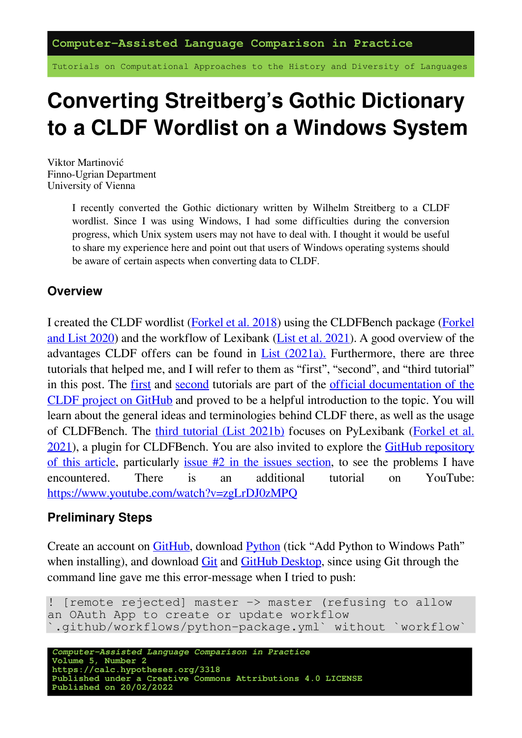Tutorials on Computational Approaches to the History and Diversity of Languages

# **Converting Streitberg's Gothic Dictionary to a CLDF Wordlist on a Windows System**

Viktor Martinović Finno-Ugrian Department University of Vienna

> I recently converted the Gothic dictionary written by Wilhelm Streitberg to a CLDF wordlist. Since I was using Windows, I had some difficulties during the conversion progress, which Unix system users may not have to deal with. I thought it would be useful to share my experience here and point out that users of Windows operating systems should be aware of certain aspects when converting data to CLDF.

### **Overview**

I created the CLDF wordlist [\(Forkel et al. 2018](https://digling.org/evobib/?bibtex=Forkel2018a)) using the CLDFBench package([Forkel](https://digling.org/evobib/?bibtex=Forkel2020) [and List 2020](https://digling.org/evobib/?bibtex=Forkel2020)) and the workflow of Lexibank([List et al. 2021\)](https://digling.org/evobib/?bibtex=List2021PREPRINTd). A good overview of the advantages CLDF offers can be found in List  $(2021a)$ . Furthermore, there are three tutorials that helped me, and I will refer to them as "first", "second", and "third tutorial" in this post. The [first](https://github.com/cldf/cookbook/tree/master/recipes/excel) and [second](https://github.com/cldf/cldfbench/blob/master/doc/tutorial.md) tutorials are part of the [official documentation of the](https://github.com/cldf/cldf) [CLDF project on GitHub](https://github.com/cldf/cldf) and proved to be a helpful introduction to the topic. You will learn about the general ideas and terminologies behind CLDF there, as well as the usage of CLDFBench. The [third tutorial \(List 2021b\)](https://calc.hypotheses.org/2954) focuses on PyLexibank [\(Forkel et al.](https://digling.org/evobib/?bibtex=PyLexibank) [2021](https://digling.org/evobib/?bibtex=PyLexibank)), a plugin for CLDFBench. You are also invited to explore the [GitHub repository](https://github.com/martino-vic/streitberggothic/) [of this article,](https://github.com/martino-vic/streitberggothic/) particularly [issue #2 in the issues section,](https://github.com/martino-vic/streitberggothic/issues/2) to see the problems I have encountered. There is an additional tutorial on YouTube: <https://www.youtube.com/watch?v=zgLrDJ0zMPQ>

### **Preliminary Steps**

Create an account on [GitHub](https://github.com/join), download [Python](https://www.python.org/downloads/) (tick "Add Python to Windows Path" when installing), and download [Git](https://gitforwindows.org/) and [GitHub Desktop,](https://desktop.github.com/) since using Git through the command line gave me this error-message when I tried to push:

```
! [remote rejected] master -> master (refusing to allow
an OAuth App to create or update workflow
`.github/workflows/python-package.yml` without `workflow`
```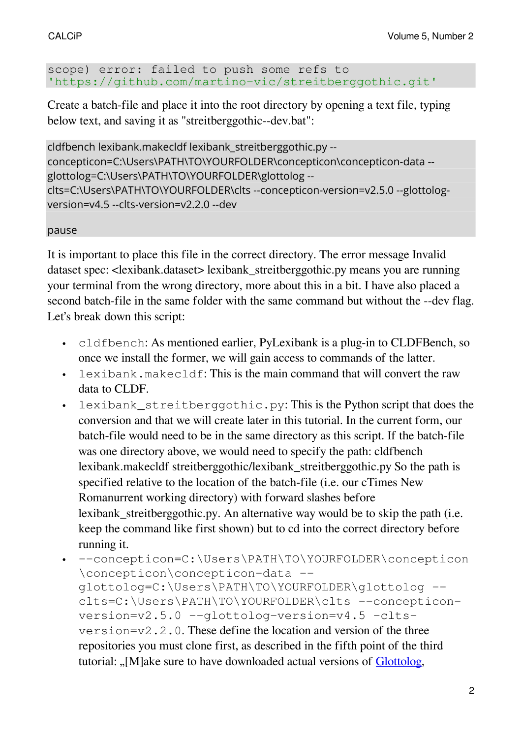#### scope) error: failed to push some refs to 'https://github.com/martino-vic/streitberggothic.git'

Create a batch-file and place it into the root directory by opening a text file, typing below text, and saving it as "streitberggothic--dev.bat":

```
cldfbench lexibank.makecldf lexibank_streitberggothic.py --
concepticon=C:\Users\PATH\TO\YOURFOLDER\concepticon\concepticon-data --
glottolog=C:\Users\PATH\TO\YOURFOLDER\glottolog --
clts=C:\Users\PATH\TO\YOURFOLDER\clts --concepticon-version=v2.5.0 --glottolog-
version=v4.5 --clts-version=v2.2.0 --dev
```
#### pause

It is important to place this file in the correct directory. The error message Invalid dataset spec: <lexibank.dataset> lexibank\_streitberggothic.py means you are running your terminal from the wrong directory, more about this in a bit. I have also placed a second batch-file in the same folder with the same command but without the --dev flag. Let's break down this script:

- cldfbench: As mentioned earlier, PyLexibank is a plug-in to CLDFBench, so once we install the former, we will gain access to commands of the latter.
- lexibank.makecldf: This is the main command that will convert the raw data to CLDF.
- lexibank\_streitberggothic.py: This is the Python script that does the conversion and that we will create later in this tutorial. In the current form, our batch-file would need to be in the same directory as this script. If the batch-file was one directory above, we would need to specify the path: cldfbench lexibank.makecldf streitberggothic/lexibank\_streitberggothic.py So the path is specified relative to the location of the batch-file (i.e. our cTimes New Romanurrent working directory) with forward slashes before lexibank streitberggothic.py. An alternative way would be to skip the path (i.e. keep the command like first shown) but to cd into the correct directory before running it.
- --concepticon=C:\Users\PATH\TO\YOURFOLDER\concepticon \concepticon\concepticon-data - glottolog=C:\Users\PATH\TO\YOURFOLDER\glottolog - clts=C:\Users\PATH\TO\YOURFOLDER\clts --concepticonversion=v2.5.0 --glottolog-version=v4.5 –cltsversion=v2.2.0. These define the location and version of the three repositories you must clone first, as described in the fifth point of the third tutorial: "[M]ake sure to have downloaded actual versions of [Glottolog,](https://github.com/glottolog/glottolog)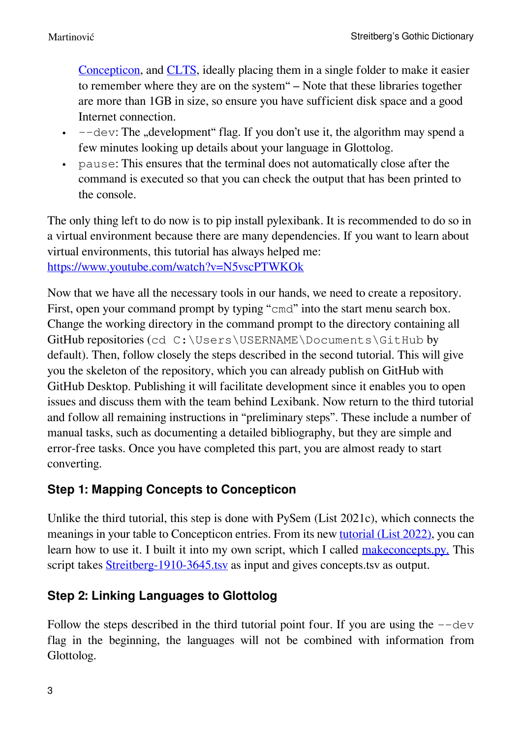[Concepticon,](https://github.com/concepticon/concepticon-data) and [CLTS](https://github.com/cldf-clts/clts), ideally placing them in a single folder to make it easier to remember where they are on the system" – Note that these libraries together are more than 1GB in size, so ensure you have sufficient disk space and a good Internet connection.

- $\cdot$  --dev: The "development" flag. If you don't use it, the algorithm may spend a few minutes looking up details about your language in Glottolog.
- pause: This ensures that the terminal does not automatically close after the command is executed so that you can check the output that has been printed to the console.

The only thing left to do now is to pip install pylexibank. It is recommended to do so in a virtual environment because there are many dependencies. If you want to learn about virtual environments, this tutorial has always helped me: <https://www.youtube.com/watch?v=N5vscPTWKOk>

Now that we have all the necessary tools in our hands, we need to create a repository. First, open your command prompt by typing "cmd" into the start menu search box. Change the working directory in the command prompt to the directory containing all GitHub repositories (cd C:\Users\USERNAME\Documents\GitHub by default). Then, follow closely the steps described in the second tutorial. This will give you the skeleton of the repository, which you can already publish on GitHub with GitHub Desktop. Publishing it will facilitate development since it enables you to open issues and discuss them with the team behind Lexibank. Now return to the third tutorial and follow all remaining instructions in "preliminary steps". These include a number of manual tasks, such as documenting a detailed bibliography, but they are simple and error-free tasks. Once you have completed this part, you are almost ready to start converting.

### **Step 1: Mapping Concepts to Concepticon**

Unlike the third tutorial, this step is done with PySem (List 2021c), which connects the meanings in your table to Concepticon entries. From its new [tutorial \(List 2022\)](https://calc.hypotheses.org/3193), you can learn how to use it. I built it into my own script, which I called [makeconcepts.py.](https://github.com/martino-vic/streitberggothic/blob/new/raw/misc/makeconcepts.py) This script takes [Streitberg-1910-3645.tsv](https://github.com/martino-vic/streitberggothic/blob/new/raw/Streitberg-1910-3645.tsv) as input and gives concepts.tsv as output.

## **Step 2: Linking Languages to Glottolog**

Follow the steps described in the third tutorial point four. If you are using the  $-\text{dev}$ flag in the beginning, the languages will not be combined with information from Glottolog.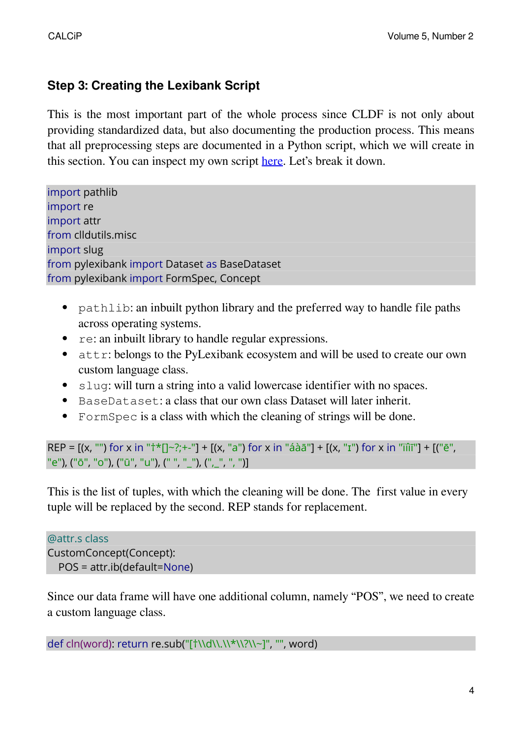### **Step 3: Creating the Lexibank Script**

This is the most important part of the whole process since CLDF is not only about providing standardized data, but also documenting the production process. This means that all preprocessing steps are documented in a Python script, which we will create in this section. You can inspect my own script [here.](https://github.com/martino-vic/streitberggothic/blob/new/lexibank_streitberggothic.py) Let's break it down.

import pathlib import re import attr from clldutils.misc import slug from pylexibank import Dataset as BaseDataset from pylexibank import FormSpec, Concept

- pathlib: an inbuilt python library and the preferred way to handle file paths across operating systems.
- re: an inbuilt library to handle regular expressions.
- attr: belongs to the PyLexibank ecosystem and will be used to create our own custom language class.
- slug: will turn a string into a valid lowercase identifier with no spaces.
- BaseDataset: a class that our own class Dataset will later inherit.
- FormSpec is a class with which the cleaning of strings will be done.

```
REP = [(x, "") for x in "\uparrow \uparrow []-?; +-"] + [(x, "a") for x in "áàā"] + [(x, "1") for x in "ïíìī"] + [("e","e"), ("ō", "o"), ("ū", "u"), (" ", "_"), (",_", ", ")]
```
This is the list of tuples, with which the cleaning will be done. The first value in every tuple will be replaced by the second. REP stands for replacement.

```
@attr.s class
CustomConcept(Concept):
  POS = attr.ib(default=None)
```
Since our data frame will have one additional column, namely "POS", we need to create a custom language class.

```
def cln(word): return re.sub("[†\\d\\.\\*\\?\\~]", "", word)
```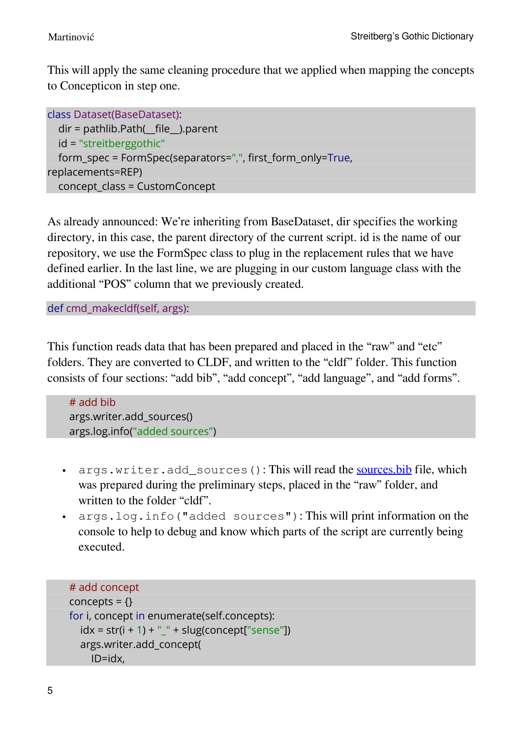This will apply the same cleaning procedure that we applied when mapping the concepts to Concepticon in step one.

```
class Dataset(BaseDataset):
  dir = pathlib.Path(__file__).parent
  id = "streitberggothic"
  form_spec = FormSpec(separators=",", first_form_only=True,
replacements=REP)
  concept_class = CustomConcept
```
As already announced: We're inheriting from BaseDataset, dir specifies the working directory, in this case, the parent directory of the current script. id is the name of our repository, we use the FormSpec class to plug in the replacement rules that we have defined earlier. In the last line, we are plugging in our custom language class with the additional "POS" column that we previously created.

def cmd\_makecldf(self, args):

This function reads data that has been prepared and placed in the "raw" and "etc" folders. They are converted to CLDF, and written to the "cldf" folder. This function consists of four sections: "add bib", "add concept", "add language", and "add forms".

# add bib args.writer.add\_sources() args.log.info("added sources")

- args.writer.add sources(): This will read the [sources.bib](https://github.com/martino-vic/streitberggothic/blob/new/raw/sources.bib) file, which was prepared during the preliminary steps, placed in the "raw" folder, and written to the folder "cldf".
- args.log.info("added sources"): This will print information on the console to help to debug and know which parts of the script are currently being executed.

```
# add concept
concepts = \{\}for i, concept in enumerate(self.concepts):
  idx = str(i + 1) + "" + slug(concept["sense"])
  args.writer.add_concept(
    ID=idx,
```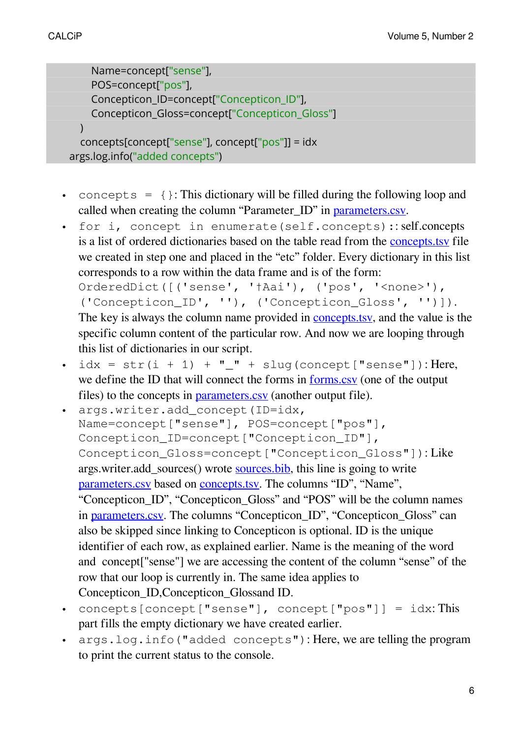```
Name=concept["sense"],
    POS=concept["pos"],
    Concepticon_ID=concept["Concepticon_ID"],
    Concepticon_Gloss=concept["Concepticon_Gloss"]
  )
  concepts[concept["sense"], concept["pos"]] = idx
args.log.info("added concepts")
```
- concepts =  $\{\}$ : This dictionary will be filled during the following loop and called when creating the column "Parameter\_ID" in [parameters.csv.](https://github.com/martino-vic/streitberggothic/blob/new/cldf/parameters.csv)
- for i, concept in enumerate(self.concepts):: self.concepts is a list of ordered dictionaries based on the table read from the [concepts.tsv](https://github.com/martino-vic/streitberggothic/blob/new/etc/concepts.tsv) file we created in step one and placed in the "etc" folder. Every dictionary in this list corresponds to a row within the data frame and is of the form: OrderedDict([('sense', '†Aai'), ('pos', '<none>'), ('Concepticon\_ID', ''), ('Concepticon\_Gloss', '')]). The key is always the column name provided in **concepts**, tsy, and the value is the

specific column content of the particular row. And now we are looping through this list of dictionaries in our script.

- $\cdot$  idx = str(i + 1) + "\_" + slug(concept["sense"]): Here, we define the ID that will connect the forms in [forms.csv](https://github.com/martino-vic/streitberggothic/blob/new/cldf/forms.csv) (one of the output files) to the concepts in [parameters.csv](https://github.com/martino-vic/streitberggothic/blob/new/cldf/parameters.csv) (another output file).
- args.writer.add\_concept(ID=idx, Name=concept["sense"], POS=concept["pos"], Concepticon\_ID=concept["Concepticon\_ID"], Concepticon\_Gloss=concept["Concepticon\_Gloss"]): Like args.writer.add\_sources() wrote [sources.bib](https://github.com/martino-vic/streitberggothic/blob/new/cldf/sources.bib), this line is going to write [parameters.csv](https://github.com/martino-vic/streitberggothic/blob/new/cldf/parameters.csv) based on [concepts.tsv.](https://github.com/martino-vic/streitberggothic/blob/new/etc/concepts.tsv) The columns "ID", "Name", "Concepticon\_ID", "Concepticon\_Gloss" and "POS" will be the column names in [parameters.csv.](https://github.com/martino-vic/streitberggothic/blob/new/cldf/parameters.csv) The columns "Concepticon ID", "Concepticon Gloss" can also be skipped since linking to Concepticon is optional. ID is the unique identifier of each row, as explained earlier. Name is the meaning of the word and concept["sense"] we are accessing the content of the column "sense" of the row that our loop is currently in. The same idea applies to Concepticon\_ID,Concepticon\_Glossand ID.
- concepts[concept["sense"], concept["pos"]] = idx: This part fills the empty dictionary we have created earlier.
- args.log.info("added concepts"): Here, we are telling the program to print the current status to the console.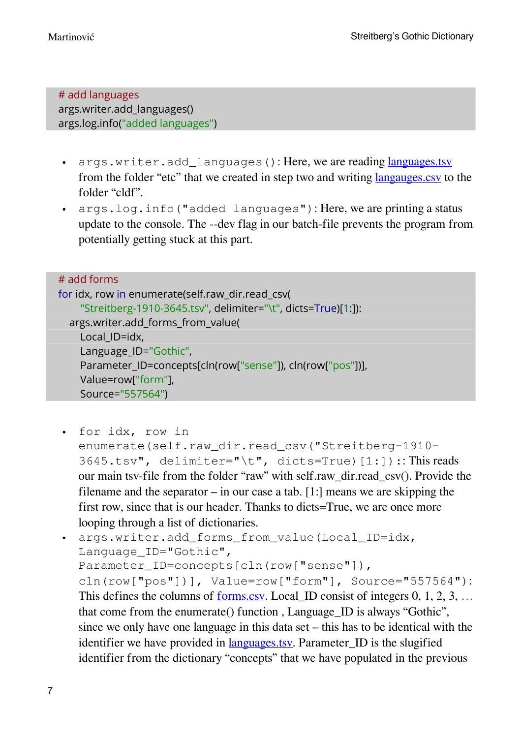# add languages args.writer.add\_languages() args.log.info("added languages")

- args.writer.add languages(): Here, we are reading [languages.tsv](https://github.com/martino-vic/streitberggothic/blob/new/etc/languages.tsv) from the folder "etc" that we created in step two and writing [langauges.csv](https://github.com/martino-vic/streitberggothic/blob/new/cldf/languages.csv) to the folder "cldf".
- args.log.info("added languages"): Here, we are printing a status update to the console. The --dev flag in our batch-file prevents the program from potentially getting stuck at this part.

| # add forms                                                   |
|---------------------------------------------------------------|
| for idx, row in enumerate(self.raw dir.read csv(              |
| "Streitberg-1910-3645.tsv", delimiter="\t", dicts=True)[1:]): |
| args.writer.add_forms_from_value(                             |
| Local ID=idx,                                                 |
| Language_ID="Gothic",                                         |
| Parameter_ID=concepts[cln(row["sense"]), cln(row["pos"])],    |
| Value=row["form"],                                            |
| Source="557564")                                              |

- for idx, row in enumerate(self.raw\_dir.read\_csv("Streitberg-1910-  $3645.tsv",$  delimiter="\t", dicts=True)[1:]):: This reads our main tsv-file from the folder "raw" with self.raw\_dir.read\_csv(). Provide the filename and the separator – in our case a tab. [1:] means we are skipping the first row, since that is our header. Thanks to dicts=True, we are once more looping through a list of dictionaries.
- args.writer.add\_forms\_from\_value(Local\_ID=idx, Language\_ID="Gothic", Parameter\_ID=concepts[cln(row["sense"]), cln(row["pos"])], Value=row["form"], Source="557564"): This defines the columns of <u>[forms.csv](https://github.com/martino-vic/streitberggothic/blob/new/cldf/forms.csv)</u>. Local ID consist of integers  $0, 1, 2, 3, \ldots$ that come from the enumerate() function , Language\_ID is always "Gothic", since we only have one language in this data set – this has to be identical with the identifier we have provided in <u>languages, tsv</u>. Parameter ID is the slugified identifier from the dictionary "concepts" that we have populated in the previous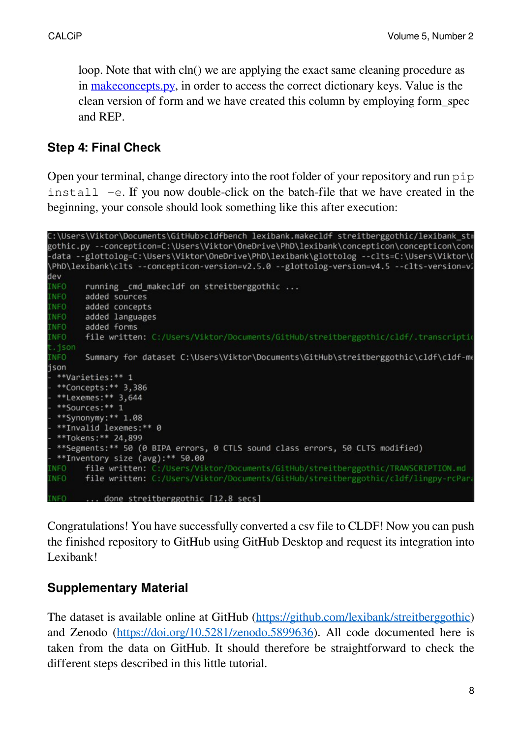loop. Note that with cln() we are applying the exact same cleaning procedure as in [makeconcepts.py,](https://github.com/martino-vic/streitberggothic/blob/new/raw/misc/makeconcepts.py) in order to access the correct dictionary keys. Value is the clean version of form and we have created this column by employing form\_spec and REP.

### **Step 4: Final Check**

Open your terminal, change directory into the root folder of your repository and run pip install -e. If you now double-click on the batch-file that we have created in the beginning, your console should look something like this after execution:

```
C:\Users\Viktor\Documents\GitHub>cldfbench lexibank.makecldf streitberggothic/lexibank str
gothic.py --concepticon=C:\Users\Viktor\OneDrive\PhD\lexibank\concepticon\concepticon\cond
-data --glottolog=C:\Users\Viktor\OneDrive\PhD\lexibank\glottolog --clts=C:\Users\Viktor\(
\PhD\lexibank\clts --concepticon-version=v2.5.0 --glottolog-version=v4.5 --clts-version=v2\
dev
INFO
        running _cmd_makecldf on streitberggothic ...
INFO
        added sources
INFO
        added concepts
INFO
        added languages
INFO
        added forms
        file written: C:/Users/Viktor/Documents/GitHub/streitberggothic/cldf/.transcriptio
INFO
.ison
        Summary for dataset C:\Users\Viktor\Documents\GitHub\streitberggothic\cldf\cldf-me
INFO
json
 **Varieties:** 1
 **Concepts:** 3,386
 **Lexemes:** 3,644
 **Sources:** 1
 **Synonymy: ** 1.08
 **Invalid lexemes:** 0
 **Tokens: ** 24,899
  **Segments:** 50 (0 BIPA errors, 0 CTLS sound class errors, 50 CLTS modified)
 **Inventory size (avg):** 50.00
        file written: C:/Users/Viktor/Documents/GitHub/streitberggothic/TRANSCRIPTION.md
NFO.
        file written: C:/Users/Viktor/Documents/GitHub/streitberggothic/cldf/lingpy-rcPar
NFO
           done streitberggothic [12.8 secs]
NEO
```
Congratulations! You have successfully converted a csv file to CLDF! Now you can push the finished repository to GitHub using GitHub Desktop and request its integration into Lexibank!

### **Supplementary Material**

The dataset is available online at GitHub [\(https://github.com/lexibank/streitberggothic](https://github.com/lexibank/streitberggothic)) and Zenodo [\(https://doi.org/10.5281/zenodo.5899636\)](https://doi.org/10.5281/zenodo.5899636). All code documented here is taken from the data on GitHub. It should therefore be straightforward to check the different steps described in this little tutorial.